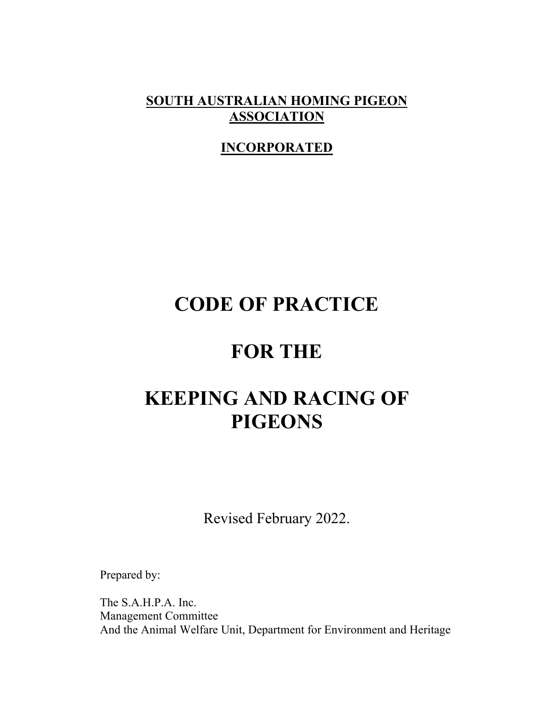**SOUTH AUSTRALIAN HOMING PIGEON ASSOCIATION** 

# **INCORPORATED**

# **CODE OF PRACTICE**

# **FOR THE**

# **KEEPING AND RACING OF PIGEONS**

Revised February 2022.

Prepared by:

The S.A.H.P.A. Inc. Management Committee And the Animal Welfare Unit, Department for Environment and Heritage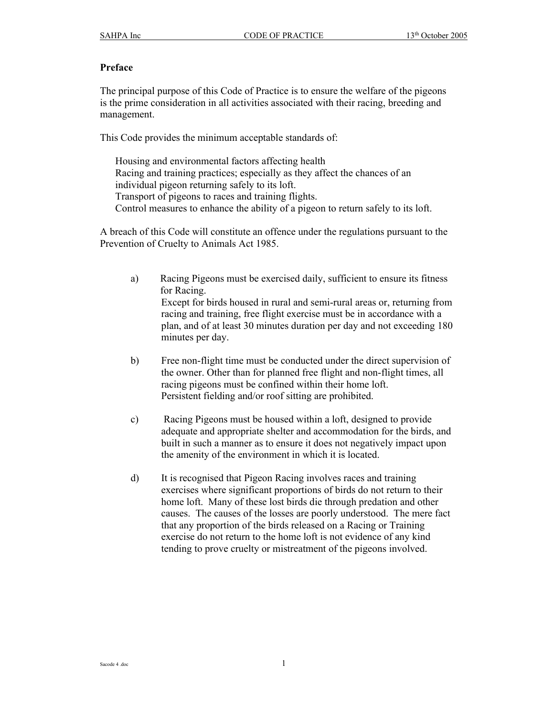#### **Preface**

The principal purpose of this Code of Practice is to ensure the welfare of the pigeons is the prime consideration in all activities associated with their racing, breeding and management.

This Code provides the minimum acceptable standards of:

Housing and environmental factors affecting health Racing and training practices; especially as they affect the chances of an individual pigeon returning safely to its loft. Transport of pigeons to races and training flights. Control measures to enhance the ability of a pigeon to return safely to its loft.

A breach of this Code will constitute an offence under the regulations pursuant to the Prevention of Cruelty to Animals Act 1985.

- a) Racing Pigeons must be exercised daily, sufficient to ensure its fitness for Racing. Except for birds housed in rural and semi-rural areas or, returning from racing and training, free flight exercise must be in accordance with a plan, and of at least 30 minutes duration per day and not exceeding 180 minutes per day.
- b) Free non-flight time must be conducted under the direct supervision of the owner. Other than for planned free flight and non-flight times, all racing pigeons must be confined within their home loft. Persistent fielding and/or roof sitting are prohibited.
- c) Racing Pigeons must be housed within a loft, designed to provide adequate and appropriate shelter and accommodation for the birds, and built in such a manner as to ensure it does not negatively impact upon the amenity of the environment in which it is located.
- d) It is recognised that Pigeon Racing involves races and training exercises where significant proportions of birds do not return to their home loft. Many of these lost birds die through predation and other causes. The causes of the losses are poorly understood. The mere fact that any proportion of the birds released on a Racing or Training exercise do not return to the home loft is not evidence of any kind tending to prove cruelty or mistreatment of the pigeons involved.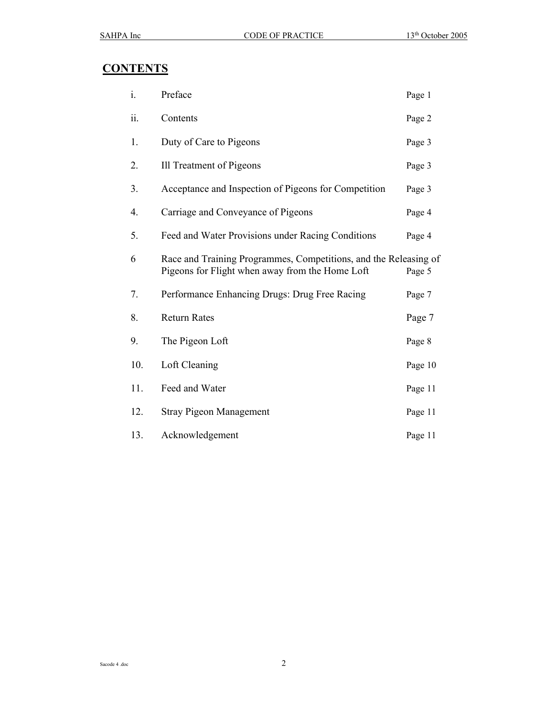# **CONTENTS**

| i.  | Preface                                                                                                             | Page 1  |
|-----|---------------------------------------------------------------------------------------------------------------------|---------|
| ii. | Contents                                                                                                            | Page 2  |
| 1.  | Duty of Care to Pigeons                                                                                             | Page 3  |
| 2.  | Ill Treatment of Pigeons                                                                                            | Page 3  |
| 3.  | Acceptance and Inspection of Pigeons for Competition                                                                | Page 3  |
| 4.  | Carriage and Conveyance of Pigeons                                                                                  | Page 4  |
| 5.  | Feed and Water Provisions under Racing Conditions                                                                   | Page 4  |
| 6   | Race and Training Programmes, Competitions, and the Releasing of<br>Pigeons for Flight when away from the Home Loft | Page 5  |
| 7.  | Performance Enhancing Drugs: Drug Free Racing                                                                       | Page 7  |
| 8.  | <b>Return Rates</b>                                                                                                 | Page 7  |
| 9.  | The Pigeon Loft                                                                                                     | Page 8  |
| 10. | Loft Cleaning                                                                                                       | Page 10 |
| 11. | Feed and Water                                                                                                      | Page 11 |
| 12. | <b>Stray Pigeon Management</b>                                                                                      | Page 11 |
| 13. | Acknowledgement                                                                                                     | Page 11 |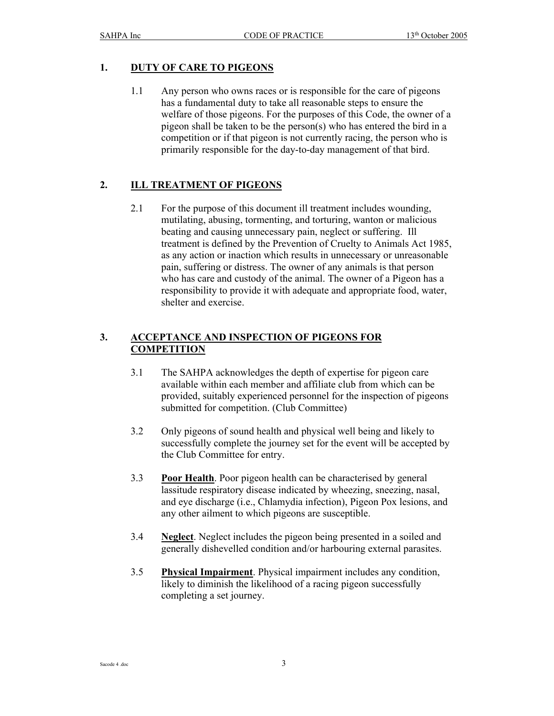# **1. DUTY OF CARE TO PIGEONS**

1.1 Any person who owns races or is responsible for the care of pigeons has a fundamental duty to take all reasonable steps to ensure the welfare of those pigeons. For the purposes of this Code, the owner of a pigeon shall be taken to be the person(s) who has entered the bird in a competition or if that pigeon is not currently racing, the person who is primarily responsible for the day-to-day management of that bird.

# **2. ILL TREATMENT OF PIGEONS**

2.1 For the purpose of this document ill treatment includes wounding, mutilating, abusing, tormenting, and torturing, wanton or malicious beating and causing unnecessary pain, neglect or suffering. Ill treatment is defined by the Prevention of Cruelty to Animals Act 1985, as any action or inaction which results in unnecessary or unreasonable pain, suffering or distress. The owner of any animals is that person who has care and custody of the animal. The owner of a Pigeon has a responsibility to provide it with adequate and appropriate food, water, shelter and exercise.

# **3. ACCEPTANCE AND INSPECTION OF PIGEONS FOR COMPETITION**

- 3.1 The SAHPA acknowledges the depth of expertise for pigeon care available within each member and affiliate club from which can be provided, suitably experienced personnel for the inspection of pigeons submitted for competition. (Club Committee)
- 3.2 Only pigeons of sound health and physical well being and likely to successfully complete the journey set for the event will be accepted by the Club Committee for entry.
- 3.3 **Poor Health**. Poor pigeon health can be characterised by general lassitude respiratory disease indicated by wheezing, sneezing, nasal, and eye discharge (i.e., Chlamydia infection), Pigeon Pox lesions, and any other ailment to which pigeons are susceptible.
- 3.4 **Neglect**. Neglect includes the pigeon being presented in a soiled and generally dishevelled condition and/or harbouring external parasites.
- 3.5 **Physical Impairment**. Physical impairment includes any condition, likely to diminish the likelihood of a racing pigeon successfully completing a set journey.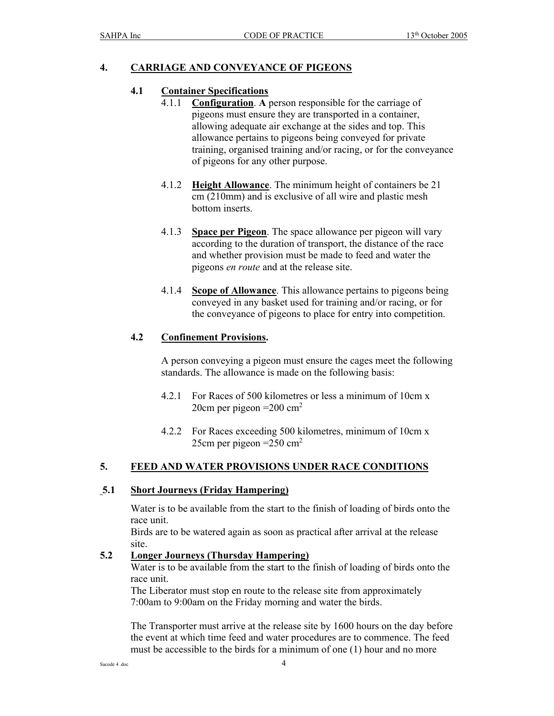## **4. CARRIAGE AND CONVEYANCE OF PIGEONS**

#### **4.1 Container Specifications**

- 4.1.1 **Configuration**. **A** person responsible for the carriage of pigeons must ensure they are transported in a container, allowing adequate air exchange at the sides and top. This allowance pertains to pigeons being conveyed for private training, organised training and/or racing, or for the conveyance of pigeons for any other purpose.
- 4.1.2 **Height Allowance**. The minimum height of containers be 21 cm (210mm) and is exclusive of all wire and plastic mesh bottom inserts.
- 4.1.3 **Space per Pigeon**. The space allowance per pigeon will vary according to the duration of transport, the distance of the race and whether provision must be made to feed and water the pigeons *en route* and at the release site.
- 4.1.4 **Scope of Allowance**. This allowance pertains to pigeons being conveyed in any basket used for training and/or racing, or for the conveyance of pigeons to place for entry into competition.

#### **4.2 Confinement Provisions.**

 A person conveying a pigeon must ensure the cages meet the following standards. The allowance is made on the following basis:

- 4.2.1 For Races of 500 kilometres or less a minimum of 10cm x 20cm per pigeon  $=200$  cm<sup>2</sup>
- 4.2.2 For Races exceeding 500 kilometres, minimum of 10cm x 25cm per pigeon  $=250$  cm<sup>2</sup>

#### **5. FEED AND WATER PROVISIONS UNDER RACE CONDITIONS**

#### **5.1 Short Journeys (Friday Hampering)**

Water is to be available from the start to the finish of loading of birds onto the race unit.

Birds are to be watered again as soon as practical after arrival at the release site.

#### **5.2 Longer Journeys (Thursday Hampering)**

Water is to be available from the start to the finish of loading of birds onto the race unit.

 The Liberator must stop en route to the release site from approximately 7:00am to 9:00am on the Friday morning and water the birds.

The Transporter must arrive at the release site by 1600 hours on the day before the event at which time feed and water procedures are to commence. The feed must be accessible to the birds for a minimum of one (1) hour and no more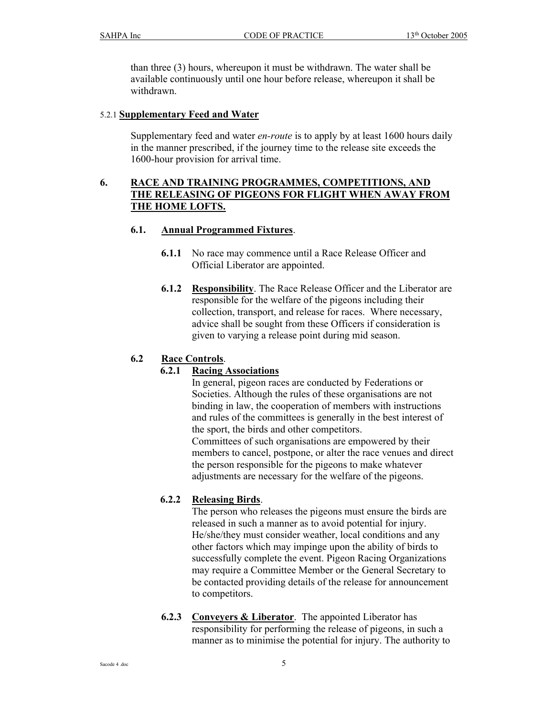than three (3) hours, whereupon it must be withdrawn. The water shall be available continuously until one hour before release, whereupon it shall be withdrawn.

#### 5.2.1 **Supplementary Feed and Water**

Supplementary feed and water *en-route* is to apply by at least 1600 hours daily in the manner prescribed, if the journey time to the release site exceeds the 1600-hour provision for arrival time.

## **6. RACE AND TRAINING PROGRAMMES, COMPETITIONS, AND THE RELEASING OF PIGEONS FOR FLIGHT WHEN AWAY FROM THE HOME LOFTS.**

#### **6.1. Annual Programmed Fixtures**.

- **6.1.1** No race may commence until a Race Release Officer and Official Liberator are appointed.
- **6.1.2 Responsibility**. The Race Release Officer and the Liberator are responsible for the welfare of the pigeons including their collection, transport, and release for races. Where necessary, advice shall be sought from these Officers if consideration is given to varying a release point during mid season.

# **6.2 Race Controls**.

#### **6.2.1 Racing Associations**

 In general, pigeon races are conducted by Federations or Societies. Although the rules of these organisations are not binding in law, the cooperation of members with instructions and rules of the committees is generally in the best interest of the sport, the birds and other competitors. Committees of such organisations are empowered by their members to cancel, postpone, or alter the race venues and direct the person responsible for the pigeons to make whatever adjustments are necessary for the welfare of the pigeons.

#### **6.2.2 Releasing Birds**.

 The person who releases the pigeons must ensure the birds are released in such a manner as to avoid potential for injury. He/she/they must consider weather, local conditions and any other factors which may impinge upon the ability of birds to successfully complete the event. Pigeon Racing Organizations may require a Committee Member or the General Secretary to be contacted providing details of the release for announcement to competitors.

**6.2.3 Conveyers & Liberator**. The appointed Liberator has responsibility for performing the release of pigeons, in such a manner as to minimise the potential for injury. The authority to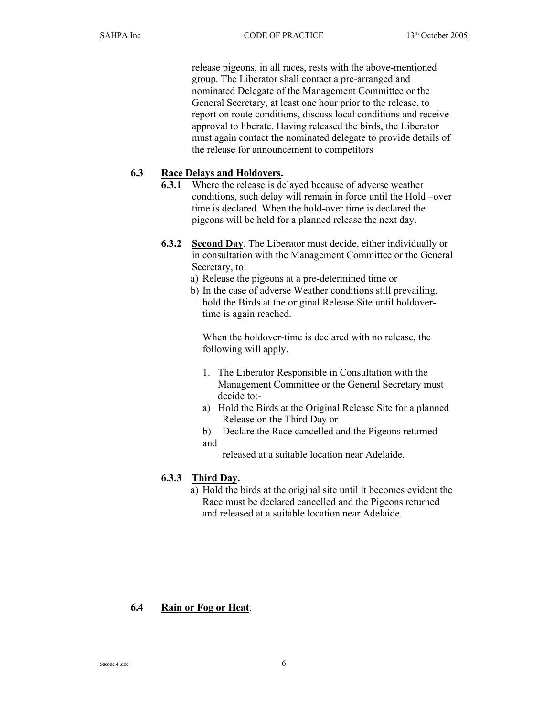release pigeons, in all races, rests with the above-mentioned group. The Liberator shall contact a pre-arranged and nominated Delegate of the Management Committee or the General Secretary, at least one hour prior to the release, to report on route conditions, discuss local conditions and receive approval to liberate. Having released the birds, the Liberator must again contact the nominated delegate to provide details of the release for announcement to competitors

#### **6.3 Race Delays and Holdovers.**

- **6.3.1** Where the release is delayed because of adverse weather conditions, such delay will remain in force until the Hold –over time is declared. When the hold-over time is declared the pigeons will be held for a planned release the next day.
- **6.3.2 Second Day**. The Liberator must decide, either individually or in consultation with the Management Committee or the General Secretary, to:
	- a) Release the pigeons at a pre-determined time or
	- b) In the case of adverse Weather conditions still prevailing, hold the Birds at the original Release Site until holdovertime is again reached.

When the holdover-time is declared with no release, the following will apply.

- 1. The Liberator Responsible in Consultation with the Management Committee or the General Secretary must decide to:-
- a) Hold the Birds at the Original Release Site for a planned Release on the Third Day or
- b) Declare the Race cancelled and the Pigeons returned and

released at a suitable location near Adelaide.

#### **6.3.3 Third Day.**

a) Hold the birds at the original site until it becomes evident the Race must be declared cancelled and the Pigeons returned and released at a suitable location near Adelaide.

#### **6.4 Rain or Fog or Heat**.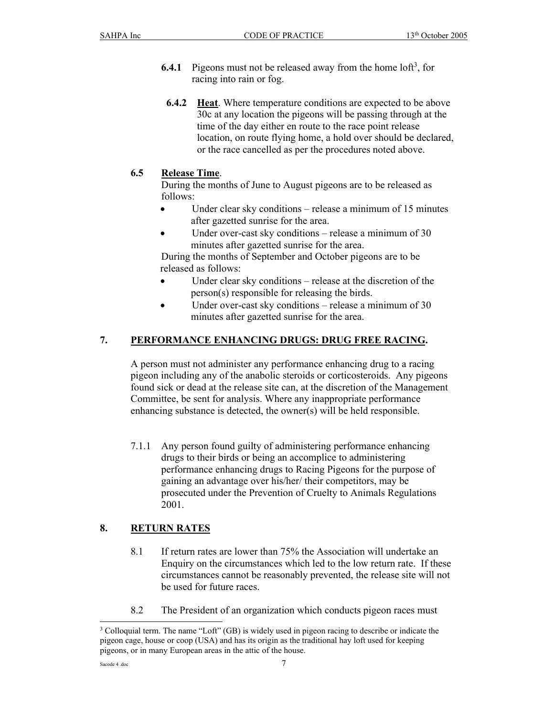- **6.4.1** Pigeons must not be released away from the home  $\text{left}^3$ , for racing into rain or fog.
- **6.4.2 Heat**. Where temperature conditions are expected to be above 30c at any location the pigeons will be passing through at the time of the day either en route to the race point release location, on route flying home, a hold over should be declared, or the race cancelled as per the procedures noted above.

# **6.5 Release Time**.

 During the months of June to August pigeons are to be released as follows:

- Under clear sky conditions release a minimum of 15 minutes after gazetted sunrise for the area.
- Under over-cast sky conditions release a minimum of 30 minutes after gazetted sunrise for the area.

 During the months of September and October pigeons are to be released as follows:

- Under clear sky conditions release at the discretion of the person(s) responsible for releasing the birds.
- Under over-cast sky conditions release a minimum of 30 minutes after gazetted sunrise for the area.

# **7. PERFORMANCE ENHANCING DRUGS: DRUG FREE RACING.**

A person must not administer any performance enhancing drug to a racing pigeon including any of the anabolic steroids or corticosteroids. Any pigeons found sick or dead at the release site can, at the discretion of the Management Committee, be sent for analysis. Where any inappropriate performance enhancing substance is detected, the owner(s) will be held responsible.

7.1.1 Any person found guilty of administering performance enhancing drugs to their birds or being an accomplice to administering performance enhancing drugs to Racing Pigeons for the purpose of gaining an advantage over his/her/ their competitors, may be prosecuted under the Prevention of Cruelty to Animals Regulations 2001.

# **8. RETURN RATES**

- 8.1 If return rates are lower than 75% the Association will undertake an Enquiry on the circumstances which led to the low return rate. If these circumstances cannot be reasonably prevented, the release site will not be used for future races.
- 8.2 The President of an organization which conducts pigeon races must

<sup>&</sup>lt;sup>3</sup> Colloquial term. The name "Loft" (GB) is widely used in pigeon racing to describe or indicate the pigeon cage, house or coop (USA) and has its origin as the traditional hay loft used for keeping pigeons, or in many European areas in the attic of the house.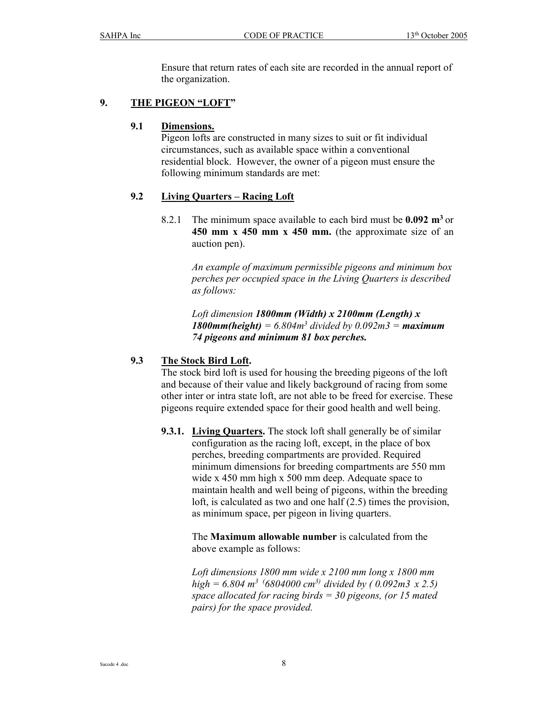Ensure that return rates of each site are recorded in the annual report of the organization.

## **9. THE PIGEON "LOFT"**

#### **9.1 Dimensions.**

 Pigeon lofts are constructed in many sizes to suit or fit individual circumstances, such as available space within a conventional residential block. However, the owner of a pigeon must ensure the following minimum standards are met:

# **9.2 Living Quarters – Racing Loft**

8.2.1 The minimum space available to each bird must be **0.092 m3** or **450 mm x 450 mm x 450 mm.** (the approximate size of an auction pen).

> *An example of maximum permissible pigeons and minimum box perches per occupied space in the Living Quarters is described as follows:*

*Loft dimension 1800mm (Width) x 2100mm (Length) x 1800mm(height)* = 6.804 $m^3$  divided by 0.092 $m^3$  = *maximum 74 pigeons and minimum 81 box perches.* 

#### **9.3 The Stock Bird Loft.**

 The stock bird loft is used for housing the breeding pigeons of the loft and because of their value and likely background of racing from some other inter or intra state loft, are not able to be freed for exercise. These pigeons require extended space for their good health and well being.

**9.3.1. Living Quarters.** The stock loft shall generally be of similar configuration as the racing loft, except, in the place of box perches, breeding compartments are provided. Required minimum dimensions for breeding compartments are 550 mm wide x 450 mm high x 500 mm deep. Adequate space to maintain health and well being of pigeons, within the breeding loft, is calculated as two and one half (2.5) times the provision, as minimum space, per pigeon in living quarters.

> The **Maximum allowable number** is calculated from the above example as follows:

 *Loft dimensions 1800 mm wide x 2100 mm long x 1800 mm high = 6.804 m3 (6804000 cm3) divided by ( 0.092m3 x 2.5) space allocated for racing birds = 30 pigeons, (or 15 mated pairs) for the space provided.*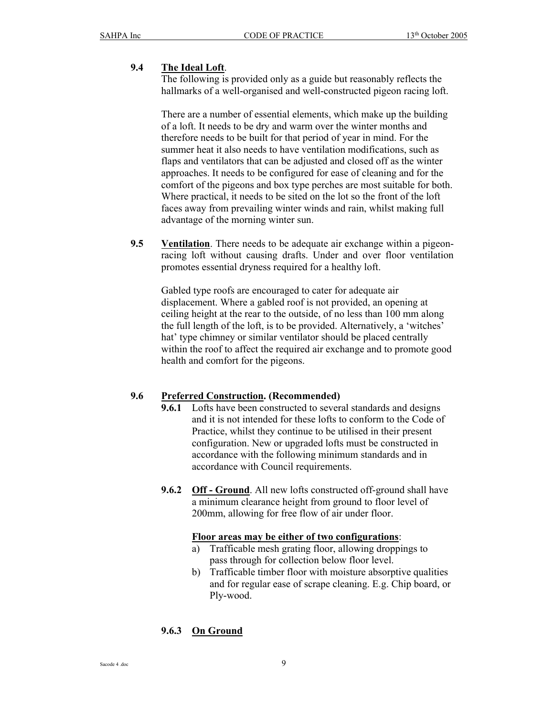## **9.4 The Ideal Loft**.

 The following is provided only as a guide but reasonably reflects the hallmarks of a well-organised and well-constructed pigeon racing loft.

 There are a number of essential elements, which make up the building of a loft. It needs to be dry and warm over the winter months and therefore needs to be built for that period of year in mind. For the summer heat it also needs to have ventilation modifications, such as flaps and ventilators that can be adjusted and closed off as the winter approaches. It needs to be configured for ease of cleaning and for the comfort of the pigeons and box type perches are most suitable for both. Where practical, it needs to be sited on the lot so the front of the loft faces away from prevailing winter winds and rain, whilst making full advantage of the morning winter sun.

**9.5 Ventilation**. There needs to be adequate air exchange within a pigeonracing loft without causing drafts. Under and over floor ventilation promotes essential dryness required for a healthy loft.

Gabled type roofs are encouraged to cater for adequate air displacement. Where a gabled roof is not provided, an opening at ceiling height at the rear to the outside, of no less than 100 mm along the full length of the loft, is to be provided. Alternatively, a 'witches' hat' type chimney or similar ventilator should be placed centrally within the roof to affect the required air exchange and to promote good health and comfort for the pigeons.

#### **9.6 Preferred Construction. (Recommended)**

- **9.6.1** Lofts have been constructed to several standards and designs and it is not intended for these lofts to conform to the Code of Practice, whilst they continue to be utilised in their present configuration. New or upgraded lofts must be constructed in accordance with the following minimum standards and in accordance with Council requirements.
- **9.6.2 Off Ground**. All new lofts constructed off-ground shall have a minimum clearance height from ground to floor level of 200mm, allowing for free flow of air under floor.

#### **Floor areas may be either of two configurations**:

- a) Trafficable mesh grating floor, allowing droppings to pass through for collection below floor level.
- b) Trafficable timber floor with moisture absorptive qualities and for regular ease of scrape cleaning. E.g. Chip board, or Ply-wood.

# **9.6.3 On Ground**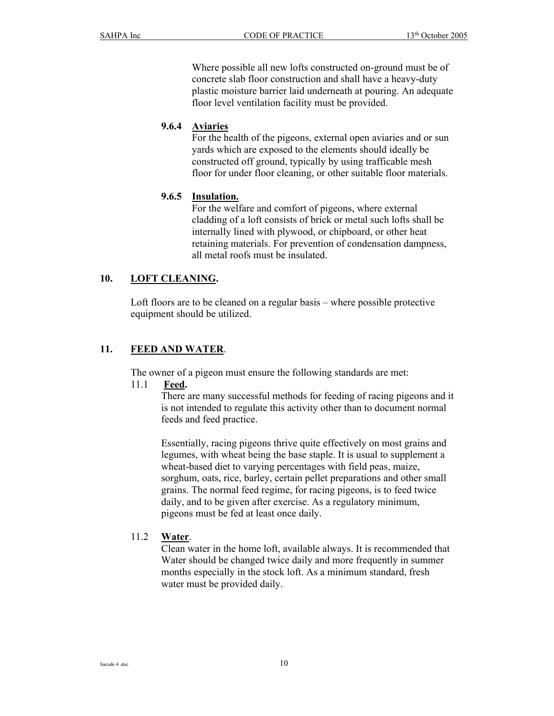Where possible all new lofts constructed on-ground must be of concrete slab floor construction and shall have a heavy-duty plastic moisture barrier laid underneath at pouring. An adequate floor level ventilation facility must be provided.

## **9.6.4 Aviaries**

 For the health of the pigeons, external open aviaries and or sun yards which are exposed to the elements should ideally be constructed off ground, typically by using trafficable mesh floor for under floor cleaning, or other suitable floor materials.

# **9.6.5 Insulation.**

 For the welfare and comfort of pigeons, where external cladding of a loft consists of brick or metal such lofts shall be internally lined with plywood, or chipboard, or other heat retaining materials. For prevention of condensation dampness, all metal roofs must be insulated.

# **10. LOFT CLEANING.**

Loft floors are to be cleaned on a regular basis – where possible protective equipment should be utilized.

## **11. FEED AND WATER**.

The owner of a pigeon must ensure the following standards are met:

#### 11.1 **Feed.**

 There are many successful methods for feeding of racing pigeons and it is not intended to regulate this activity other than to document normal feeds and feed practice.

Essentially, racing pigeons thrive quite effectively on most grains and legumes, with wheat being the base staple. It is usual to supplement a wheat-based diet to varying percentages with field peas, maize, sorghum, oats, rice, barley, certain pellet preparations and other small grains. The normal feed regime, for racing pigeons, is to feed twice daily, and to be given after exercise. As a regulatory minimum, pigeons must be fed at least once daily.

#### 11.2 **Water**.

Clean water in the home loft, available always. It is recommended that Water should be changed twice daily and more frequently in summer months especially in the stock loft. As a minimum standard, fresh water must be provided daily.